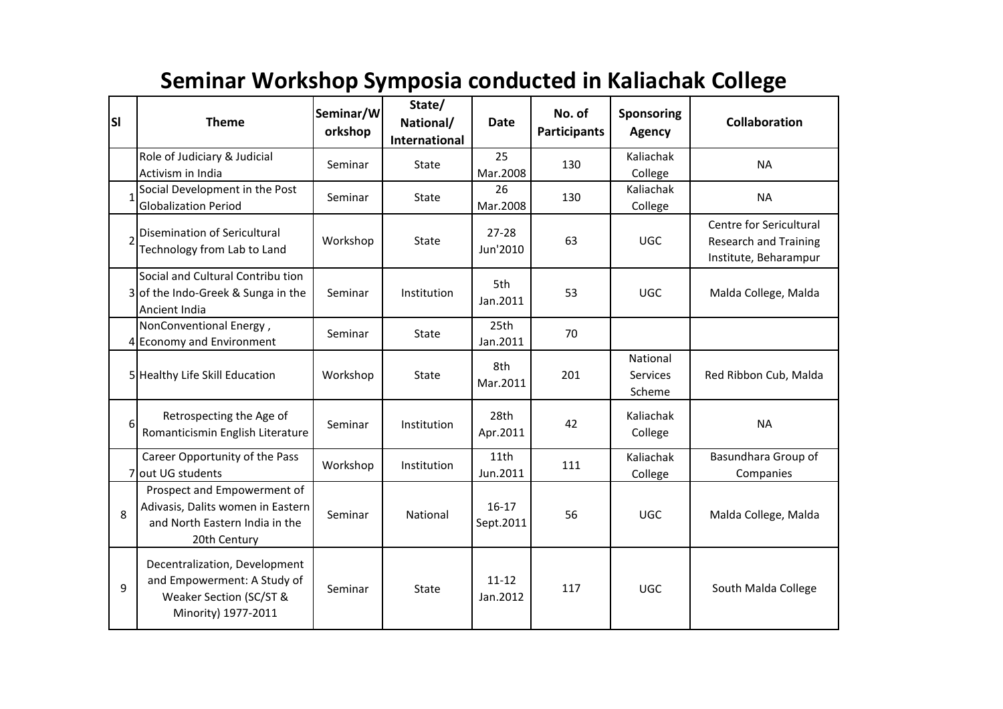## **Seminar Workshop Symposia conducted in Kaliachak College**

| <b>SI</b>      | <b>Theme</b>                                                                                                       | Seminar/W<br>orkshop | State/<br>National/<br><b>International</b> | <b>Date</b>            | No. of<br><b>Participants</b> | Sponsoring<br><b>Agency</b>    | Collaboration                                                             |
|----------------|--------------------------------------------------------------------------------------------------------------------|----------------------|---------------------------------------------|------------------------|-------------------------------|--------------------------------|---------------------------------------------------------------------------|
|                | Role of Judiciary & Judicial<br>Activism in India                                                                  | Seminar              | State                                       | 25<br>Mar.2008         | 130                           | Kaliachak<br>College           | <b>NA</b>                                                                 |
| 1              | Social Development in the Post<br><b>Globalization Period</b>                                                      | Seminar              | State                                       | 26<br>Mar.2008         | 130                           | Kaliachak<br>College           | <b>NA</b>                                                                 |
| $\overline{2}$ | Disemination of Sericultural<br>Technology from Lab to Land                                                        | Workshop             | State                                       | $27 - 28$<br>Jun'2010  | 63                            | <b>UGC</b>                     | Centre for Sericultural<br>Research and Training<br>Institute, Beharampur |
|                | Social and Cultural Contribu tion<br>3 of the Indo-Greek & Sunga in the<br>Ancient India                           | Seminar              | Institution                                 | 5th<br>Jan.2011        | 53                            | <b>UGC</b>                     | Malda College, Malda                                                      |
|                | NonConventional Energy,<br>4 Economy and Environment                                                               | Seminar              | State                                       | 25th<br>Jan.2011       | 70                            |                                |                                                                           |
|                | 5 Healthy Life Skill Education                                                                                     | Workshop             | State                                       | 8th<br>Mar.2011        | 201                           | National<br>Services<br>Scheme | Red Ribbon Cub, Malda                                                     |
| 6              | Retrospecting the Age of<br>Romanticismin English Literature                                                       | Seminar              | Institution                                 | 28th<br>Apr.2011       | 42                            | Kaliachak<br>College           | <b>NA</b>                                                                 |
|                | Career Opportunity of the Pass<br>7 out UG students                                                                | Workshop             | Institution                                 | 11th<br>Jun.2011       | 111                           | Kaliachak<br>College           | Basundhara Group of<br>Companies                                          |
| 8              | Prospect and Empowerment of<br>Adivasis, Dalits women in Eastern<br>and North Eastern India in the<br>20th Century | Seminar              | National                                    | $16 - 17$<br>Sept.2011 | 56                            | <b>UGC</b>                     | Malda College, Malda                                                      |
| 9              | Decentralization, Development<br>and Empowerment: A Study of<br>Weaker Section (SC/ST &<br>Minority) 1977-2011     | Seminar              | State                                       | $11 - 12$<br>Jan.2012  | 117                           | <b>UGC</b>                     | South Malda College                                                       |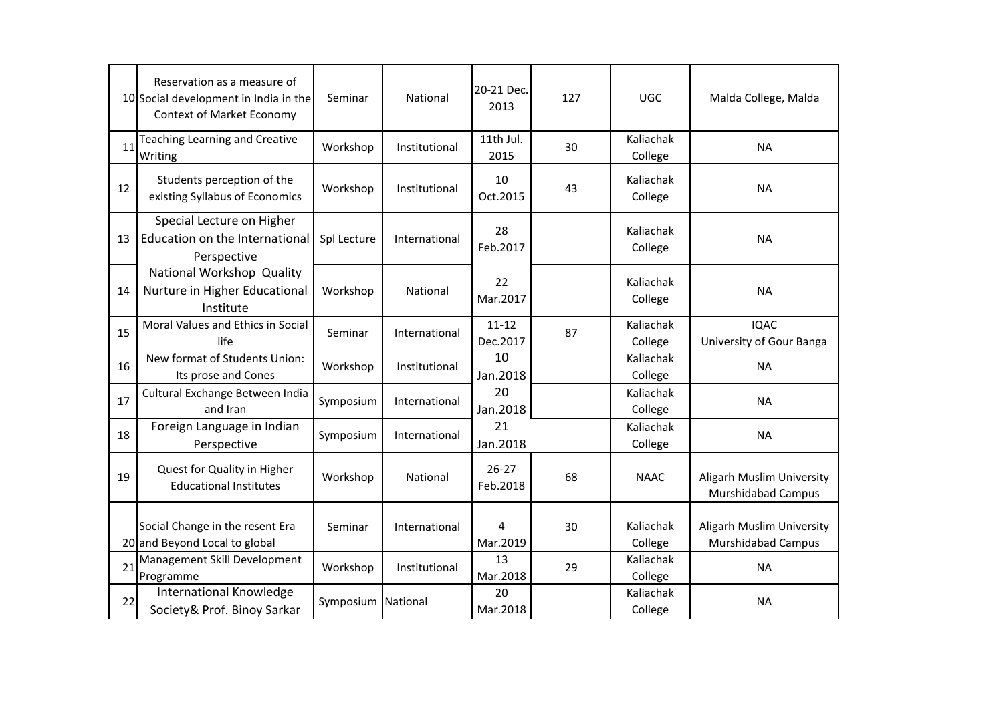|    | Reservation as a measure of<br>10 Social development in India in the<br>Context of Market Economy | Seminar     | National      | 20-21 Dec.<br>2013    | 127 | <b>UGC</b>           | Malda College, Malda                                   |
|----|---------------------------------------------------------------------------------------------------|-------------|---------------|-----------------------|-----|----------------------|--------------------------------------------------------|
| 11 | Teaching Learning and Creative<br>Writing                                                         | Workshop    | Institutional | 11th Jul.<br>2015     | 30  | Kaliachak<br>College | <b>NA</b>                                              |
| 12 | Students perception of the<br>existing Syllabus of Economics                                      | Workshop    | Institutional | 10<br>Oct.2015        | 43  | Kaliachak<br>College | <b>NA</b>                                              |
| 13 | Special Lecture on Higher<br>Education on the International<br>Perspective                        | Spl Lecture | International | 28<br>Feb.2017        |     | Kaliachak<br>College | <b>NA</b>                                              |
| 14 | National Workshop Quality<br>Nurture in Higher Educational<br>Institute                           | Workshop    | National      | 22<br>Mar.2017        |     | Kaliachak<br>College | <b>NA</b>                                              |
| 15 | Moral Values and Ethics in Social<br>life                                                         | Seminar     | International | $11 - 12$<br>Dec.2017 | 87  | Kaliachak<br>College | <b>IQAC</b><br>University of Gour Banga                |
| 16 | New format of Students Union:<br>Its prose and Cones                                              | Workshop    | Institutional | 10<br>Jan.2018        |     | Kaliachak<br>College | <b>NA</b>                                              |
| 17 | Cultural Exchange Between India<br>and Iran                                                       | Symposium   | International | 20<br>Jan.2018        |     | Kaliachak<br>College | <b>NA</b>                                              |
| 18 | Foreign Language in Indian<br>Perspective                                                         | Symposium   | International | 21<br>Jan.2018        |     | Kaliachak<br>College | <b>NA</b>                                              |
| 19 | Quest for Quality in Higher<br><b>Educational Institutes</b>                                      | Workshop    | National      | $26 - 27$<br>Feb.2018 | 68  | <b>NAAC</b>          | Aligarh Muslim University<br><b>Murshidabad Campus</b> |
|    | Social Change in the resent Era<br>20 and Beyond Local to global                                  | Seminar     | International | 4<br>Mar.2019         | 30  | Kaliachak<br>College | Aligarh Muslim University<br>Murshidabad Campus        |
| 21 | Management Skill Development<br>Programme                                                         | Workshop    | Institutional | 13<br>Mar.2018        | 29  | Kaliachak<br>College | <b>NA</b>                                              |
| 22 | <b>International Knowledge</b><br>Society& Prof. Binoy Sarkar                                     | Symposium   | National      | 20<br>Mar.2018        |     | Kaliachak<br>College | <b>NA</b>                                              |